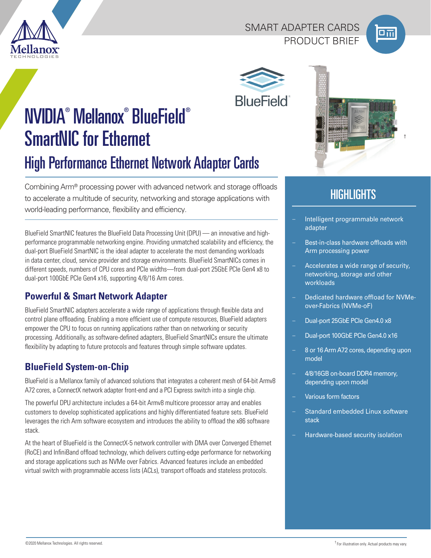

### SMART ADAPTER CARDS PRODUCT BRIEF



†



# NVIDIA® Mellanox® BlueField® SmartNIC for Ethernet High Performance Ethernet Network Adapter Cards

Combining Arm® processing power with advanced network and storage offloads to accelerate a multitude of security, networking and storage applications with world-leading performance, flexibility and efficiency.

BlueField SmartNIC features the BlueField Data Processing Unit (DPU) — an innovative and highperformance programmable networking engine. Providing unmatched scalability and efficiency, the dual-port BlueField SmartNIC is the ideal adapter to accelerate the most demanding workloads in data center, cloud, service provider and storage environments. BlueField SmartNICs comes in different speeds, numbers of CPU cores and PCIe widths—from dual-port 25GbE PCIe Gen4 x8 to dual-port 100GbE PCIe Gen4 x16, supporting 4/8/16 Arm cores.

## **Powerful & Smart Network Adapter**

BlueField SmartNIC adapters accelerate a wide range of applications through flexible data and control plane offloading. Enabling a more efficient use of compute resources, BlueField adapters empower the CPU to focus on running applications rather than on networking or security processing. Additionally, as software-defined adapters, BlueField SmartNICs ensure the ultimate flexibility by adapting to future protocols and features through simple software updates.

# **BlueField System-on-Chip**

BlueField is a Mellanox family of advanced solutions that integrates a coherent mesh of 64-bit Armv8 A72 cores, a ConnectX network adapter front-end and a PCI Express switch into a single chip.

The powerful DPU architecture includes a 64-bit Armv8 multicore processor array and enables customers to develop sophisticated applications and highly differentiated feature sets. BlueField leverages the rich Arm software ecosystem and introduces the ability to offload the x86 software stack.

At the heart of BlueField is the ConnectX-5 network controller with DMA over Converged Ethernet (RoCE) and InfiniBand offload technology, which delivers cutting-edge performance for networking and storage applications such as NVMe over Fabrics. Advanced features include an embedded virtual switch with programmable access lists (ACLs), transport offloads and stateless protocols.



# **HIGHLIGHTS**

- Intelligent programmable network adapter
- Best-in-class hardware offloads with Arm processing power
- Accelerates a wide range of security, networking, storage and other workloads
- Dedicated hardware offload for NVMeover-Fabrics (NVMe-oF)
- Dual-port 25GbE PCIe Gen4.0 x8
- Dual-port 100GbE PCIe Gen4.0 x16
- 8 or 16 Arm A72 cores, depending upon model
- 4/8/16GB on-board DDR4 memory, depending upon model
- Various form factors
- Standard embedded Linux software stack
- Hardware-based security isolation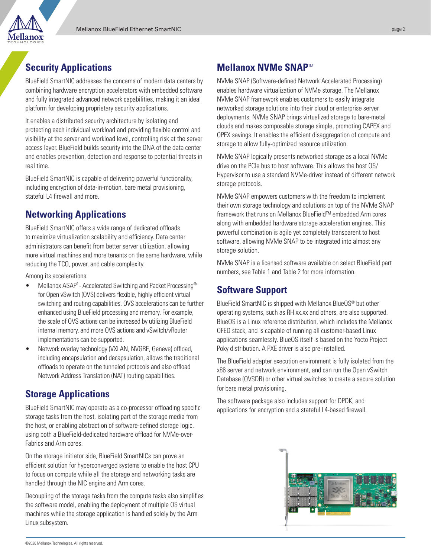# **Security Applications**

BlueField SmartNIC addresses the concerns of modern data centers by combining hardware encryption accelerators with embedded software and fully integrated advanced network capabilities, making it an ideal platform for developing proprietary security applications.

It enables a distributed security architecture by isolating and protecting each individual workload and providing flexible control and visibility at the server and workload level, controlling risk at the server access layer. BlueField builds security into the DNA of the data center and enables prevention, detection and response to potential threats in real time.

BlueField SmartNIC is capable of delivering powerful functionality, including encryption of data-in-motion, bare metal provisioning, stateful L4 firewall and more.

### **Networking Applications**

BlueField SmartNIC offers a wide range of dedicated offloads to maximize virtualization scalability and efficiency. Data center administrators can benefit from better server utilization, allowing more virtual machines and more tenants on the same hardware, while reducing the TCO, power, and cable complexity.

Among its accelerations:

- Mellanox ASAP<sup>2</sup> Accelerated Switching and Packet Processing<sup>®</sup> for Open vSwitch (OVS) delivers flexible, highly efficient virtual switching and routing capabilities. OVS accelerations can be further enhanced using BlueField processing and memory. For example, the scale of OVS actions can be increased by utilizing BlueField internal memory, and more OVS actions and vSwitch/vRouter implementations can be supported.
- Network overlay technology (VXLAN, NVGRE, Geneve) offload, including encapsulation and decapsulation, allows the traditional offloads to operate on the tunneled protocols and also offload Network Address Translation (NAT) routing capabilities.

### **Storage Applications**

BlueField SmartNIC may operate as a co-processor offloading specific storage tasks from the host, isolating part of the storage media from the host, or enabling abstraction of software-defined storage logic, using both a BlueField-dedicated hardware offload for NVMe-over-Fabrics and Arm cores.

On the storage initiator side, BlueField SmartNICs can prove an efficient solution for hyperconverged systems to enable the host CPU to focus on compute while all the storage and networking tasks are handled through the NIC engine and Arm cores.

Decoupling of the storage tasks from the compute tasks also simplifies the software model, enabling the deployment of multiple OS virtual machines while the storage application is handled solely by the Arm Linux subsystem.

### **Mellanox NVMe SNAP**TM

NVMe SNAP (Software-defined Network Accelerated Processing) enables hardware virtualization of NVMe storage. The Mellanox NVMe SNAP framework enables customers to easily integrate networked storage solutions into their cloud or enterprise server deployments. NVMe SNAP brings virtualized storage to bare-metal clouds and makes composable storage simple, promoting CAPEX and OPEX savings. It enables the efficient disaggregation of compute and storage to allow fully-optimized resource utilization.

NVMe SNAP logically presents networked storage as a local NVMe drive on the PCIe bus to host software. This allows the host OS/ Hypervisor to use a standard NVMe-driver instead of different network storage protocols.

NVMe SNAP empowers customers with the freedom to implement their own storage technology and solutions on top of the NVMe SNAP framework that runs on Mellanox BlueField™ embedded Arm cores along with embedded hardware storage acceleration engines. This powerful combination is agile yet completely transparent to host software, allowing NVMe SNAP to be integrated into almost any storage solution.

NVMe SNAP is a licensed software available on select BlueField part numbers, see Table 1 and Table 2 for more information.

### **Software Support**

BlueField SmartNIC is shipped with Mellanox BlueOS® but other operating systems, such as RH xx.xx and others, are also supported. BlueOS is a Linux reference distribution, which includes the Mellanox OFED stack, and is capable of running all customer-based Linux applications seamlessly. BlueOS itself is based on the Yocto Project Poky distribution. A PXE driver is also pre-installed.

The BlueField adapter execution environment is fully isolated from the x86 server and network environment, and can run the Open vSwitch Database (OVSDB) or other virtual switches to create a secure solution for bare metal provisioning.

The software package also includes support for DPDK, and applications for encryption and a stateful L4-based firewall.